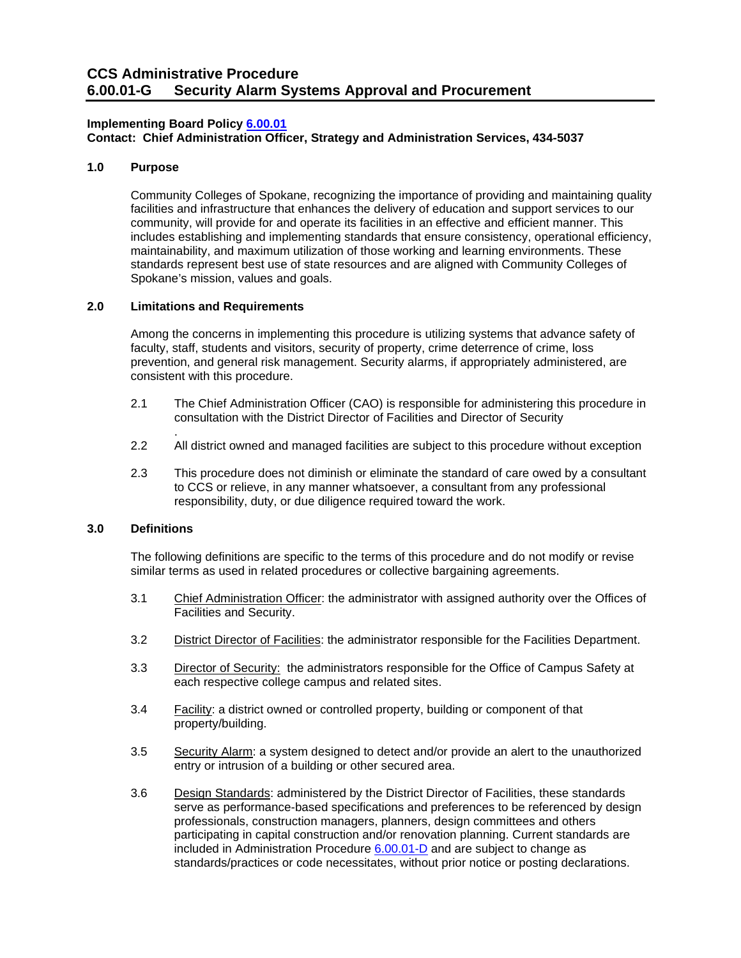#### **CCS Administrative Procedure Security Alarm Systems Approval and Procurement**

## **Implementing Board Policy [6.00.01](https://ccs.spokane.edu/About-Us/Leadership/Board-of-Trustees/Policies-Procedures/Chapter6#AccWE2-1)**

**Contact: Chief Administration Officer, Strategy and Administration Services, 434-5037** 

# **1.0 Purpose**

 includes establishing and implementing standards that ensure consistency, operational efficiency, Community Colleges of Spokane, recognizing the importance of providing and maintaining quality facilities and infrastructure that enhances the delivery of education and support services to our community, will provide for and operate its facilities in an effective and efficient manner. This maintainability, and maximum utilization of those working and learning environments. These standards represent best use of state resources and are aligned with Community Colleges of Spokane's mission, values and goals.

# **2.0 Limitations and Requirements**

Among the concerns in implementing this procedure is utilizing systems that advance safety of faculty, staff, students and visitors, security of property, crime deterrence of crime, loss prevention, and general risk management. Security alarms, if appropriately administered, are consistent with this procedure.

- 2.1 The Chief Administration Officer (CAO) is responsible for administering this procedure in consultation with the District Director of Facilities and Director of Security
- . 2.2 All district owned and managed facilities are subject to this procedure without exception
- 2.3 This procedure does not diminish or eliminate the standard of care owed by a consultant to CCS or relieve, in any manner whatsoever, a consultant from any professional responsibility, duty, or due diligence required toward the work.

# **3.0 Definitions**

The following definitions are specific to the terms of this procedure and do not modify or revise similar terms as used in related procedures or collective bargaining agreements.

- 3.1 Chief Administration Officer: the administrator with assigned authority over the Offices of Facilities and Security.
- 3.2 District Director of Facilities: the administrator responsible for the Facilities Department.
- 3.3 Director of Security: the administrators responsible for the Office of Campus Safety at each respective college campus and related sites.
- 3.4 Facility: a district owned or controlled property, building or component of that property/building.
- 3.5 Security Alarm: a system designed to detect and/or provide an alert to the unauthorized entry or intrusion of a building or other secured area.
- 3.6 Design Standards: administered by the District Director of Facilities, these standards serve as performance-based specifications and preferences to be referenced by design professionals, construction managers, planners, design committees and others participating in capital construction and/or renovation planning. Current standards are included in Administration Procedure [6.00.01-D](https://ccs.spokane.edu/ccsglobal/media/Global/PDFs/District/Policies/CH6/6.00.01%20FacilitiesSites/6-00-01D_ConstructionDesignStandards.pdf) and are subject to change as standards/practices or code necessitates, without prior notice or posting declarations.